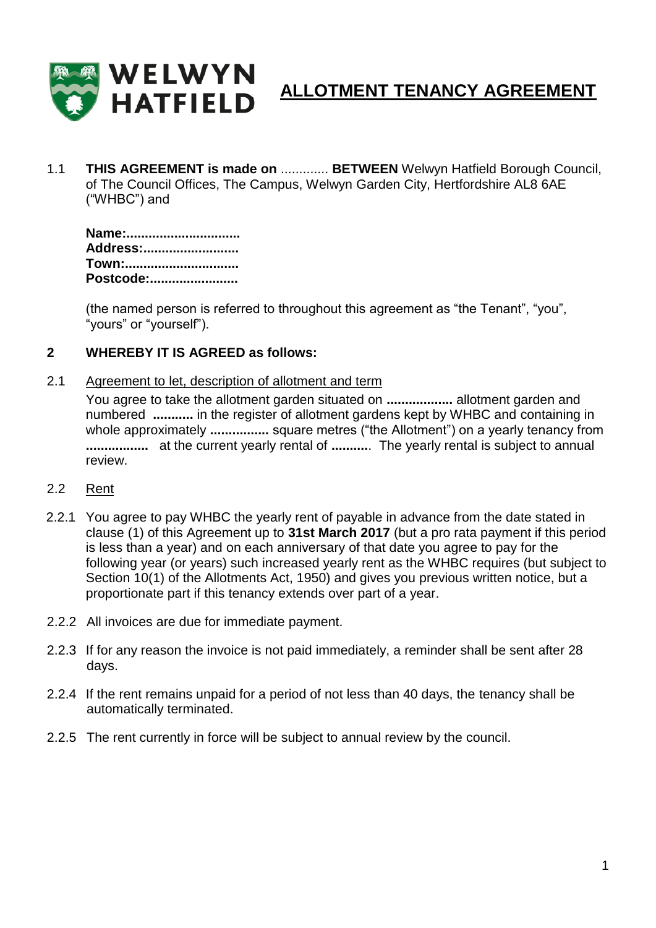

# **ALLOTMENT TENANCY AGREEMENT**

1.1 **THIS AGREEMENT is made on** ............. **BETWEEN** Welwyn Hatfield Borough Council, of The Council Offices, The Campus, Welwyn Garden City, Hertfordshire AL8 6AE ("WHBC") and

**Name:............................... Address:.......................... Town:............................... Postcode:........................**

(the named person is referred to throughout this agreement as "the Tenant", "you", "yours" or "yourself").

### **2 WHEREBY IT IS AGREED as follows:**

2.1 Agreement to let, description of allotment and term

You agree to take the allotment garden situated on **..................** allotment garden and numbered **...........** in the register of allotment gardens kept by WHBC and containing in whole approximately **................** square metres ("the Allotment") on a yearly tenancy from **.................** at the current yearly rental of **..........**. The yearly rental is subject to annual review.

- 2.2 Rent
- 2.2.1 You agree to pay WHBC the yearly rent of payable in advance from the date stated in clause (1) of this Agreement up to **31st March 2017** (but a pro rata payment if this period is less than a year) and on each anniversary of that date you agree to pay for the following year (or years) such increased yearly rent as the WHBC requires (but subject to Section 10(1) of the Allotments Act, 1950) and gives you previous written notice, but a proportionate part if this tenancy extends over part of a year.
- 2.2.2 All invoices are due for immediate payment.
- 2.2.3 If for any reason the invoice is not paid immediately, a reminder shall be sent after 28 days.
- 2.2.4 If the rent remains unpaid for a period of not less than 40 days, the tenancy shall be automatically terminated.
- 2.2.5 The rent currently in force will be subject to annual review by the council.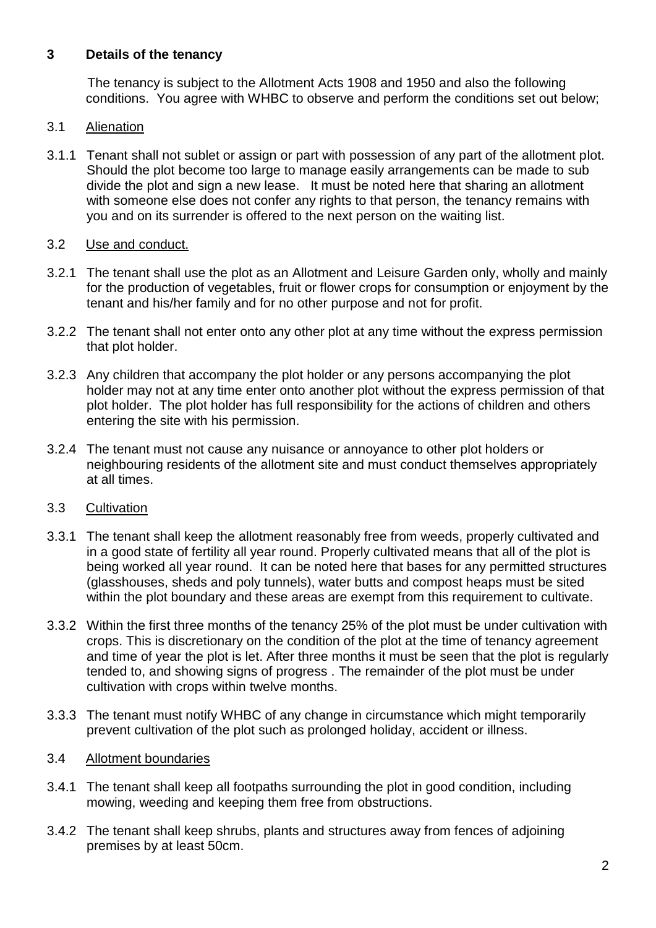## **3 Details of the tenancy**

 The tenancy is subject to the Allotment Acts 1908 and 1950 and also the following conditions. You agree with WHBC to observe and perform the conditions set out below;

## 3.1 Alienation

3.1.1 Tenant shall not sublet or assign or part with possession of any part of the allotment plot. Should the plot become too large to manage easily arrangements can be made to sub divide the plot and sign a new lease. It must be noted here that sharing an allotment with someone else does not confer any rights to that person, the tenancy remains with you and on its surrender is offered to the next person on the waiting list.

## 3.2 Use and conduct.

- 3.2.1 The tenant shall use the plot as an Allotment and Leisure Garden only, wholly and mainly for the production of vegetables, fruit or flower crops for consumption or enjoyment by the tenant and his/her family and for no other purpose and not for profit.
- 3.2.2 The tenant shall not enter onto any other plot at any time without the express permission that plot holder.
- 3.2.3 Any children that accompany the plot holder or any persons accompanying the plot holder may not at any time enter onto another plot without the express permission of that plot holder. The plot holder has full responsibility for the actions of children and others entering the site with his permission.
- 3.2.4 The tenant must not cause any nuisance or annoyance to other plot holders or neighbouring residents of the allotment site and must conduct themselves appropriately at all times.

## 3.3 Cultivation

- 3.3.1 The tenant shall keep the allotment reasonably free from weeds, properly cultivated and in a good state of fertility all year round. Properly cultivated means that all of the plot is being worked all year round. It can be noted here that bases for any permitted structures (glasshouses, sheds and poly tunnels), water butts and compost heaps must be sited within the plot boundary and these areas are exempt from this requirement to cultivate.
- 3.3.2 Within the first three months of the tenancy 25% of the plot must be under cultivation with crops. This is discretionary on the condition of the plot at the time of tenancy agreement and time of year the plot is let. After three months it must be seen that the plot is regularly tended to, and showing signs of progress . The remainder of the plot must be under cultivation with crops within twelve months.
- 3.3.3 The tenant must notify WHBC of any change in circumstance which might temporarily prevent cultivation of the plot such as prolonged holiday, accident or illness.

## 3.4 Allotment boundaries

- 3.4.1 The tenant shall keep all footpaths surrounding the plot in good condition, including mowing, weeding and keeping them free from obstructions.
- 3.4.2 The tenant shall keep shrubs, plants and structures away from fences of adjoining premises by at least 50cm.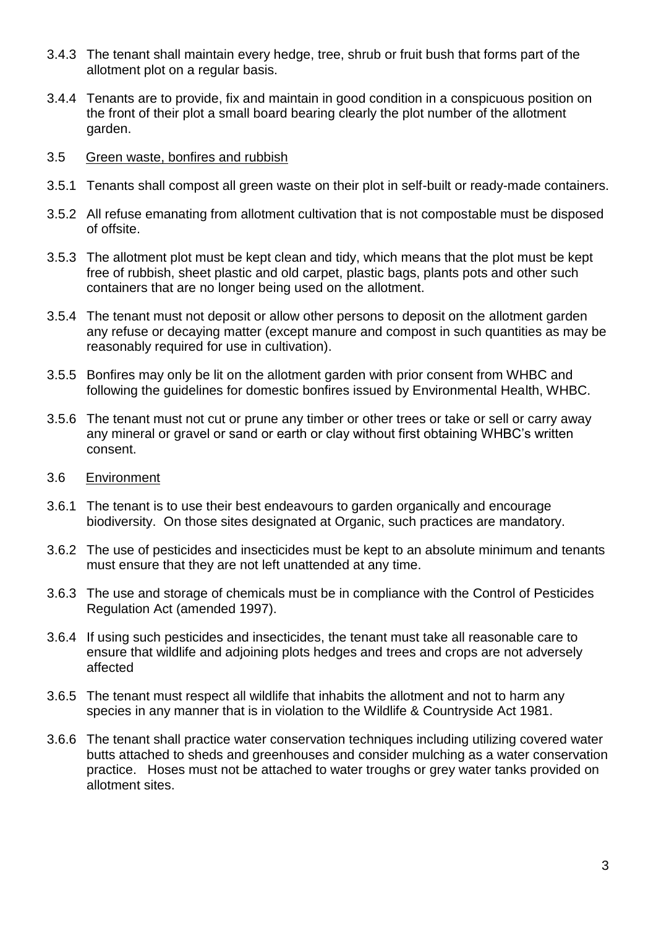- 3.4.3 The tenant shall maintain every hedge, tree, shrub or fruit bush that forms part of the allotment plot on a regular basis.
- 3.4.4 Tenants are to provide, fix and maintain in good condition in a conspicuous position on the front of their plot a small board bearing clearly the plot number of the allotment garden.
- 3.5 Green waste, bonfires and rubbish
- 3.5.1 Tenants shall compost all green waste on their plot in self-built or ready-made containers.
- 3.5.2 All refuse emanating from allotment cultivation that is not compostable must be disposed of offsite.
- 3.5.3 The allotment plot must be kept clean and tidy, which means that the plot must be kept free of rubbish, sheet plastic and old carpet, plastic bags, plants pots and other such containers that are no longer being used on the allotment.
- 3.5.4 The tenant must not deposit or allow other persons to deposit on the allotment garden any refuse or decaying matter (except manure and compost in such quantities as may be reasonably required for use in cultivation).
- 3.5.5 Bonfires may only be lit on the allotment garden with prior consent from WHBC and following the guidelines for domestic bonfires issued by Environmental Health, WHBC.
- 3.5.6 The tenant must not cut or prune any timber or other trees or take or sell or carry away any mineral or gravel or sand or earth or clay without first obtaining WHBC's written consent.
- 3.6 Environment
- 3.6.1 The tenant is to use their best endeavours to garden organically and encourage biodiversity. On those sites designated at Organic, such practices are mandatory.
- 3.6.2 The use of pesticides and insecticides must be kept to an absolute minimum and tenants must ensure that they are not left unattended at any time.
- 3.6.3 The use and storage of chemicals must be in compliance with the Control of Pesticides Regulation Act (amended 1997).
- 3.6.4 If using such pesticides and insecticides, the tenant must take all reasonable care to ensure that wildlife and adjoining plots hedges and trees and crops are not adversely affected
- 3.6.5 The tenant must respect all wildlife that inhabits the allotment and not to harm any species in any manner that is in violation to the Wildlife & Countryside Act 1981.
- 3.6.6 The tenant shall practice water conservation techniques including utilizing covered water butts attached to sheds and greenhouses and consider mulching as a water conservation practice. Hoses must not be attached to water troughs or grey water tanks provided on allotment sites.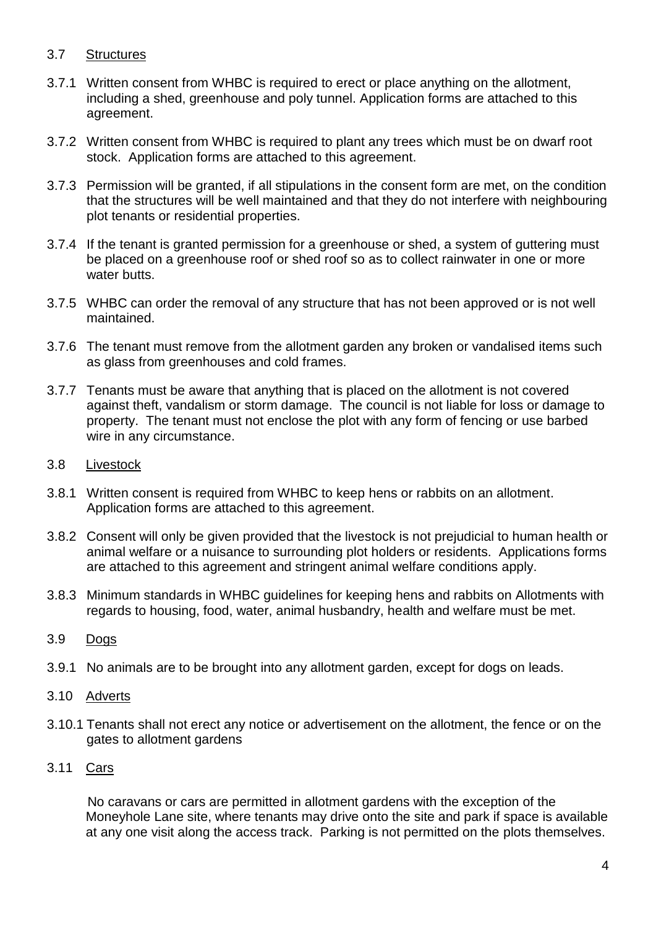### 3.7 Structures

- 3.7.1 Written consent from WHBC is required to erect or place anything on the allotment, including a shed, greenhouse and poly tunnel. Application forms are attached to this agreement.
- 3.7.2 Written consent from WHBC is required to plant any trees which must be on dwarf root stock. Application forms are attached to this agreement.
- 3.7.3 Permission will be granted, if all stipulations in the consent form are met, on the condition that the structures will be well maintained and that they do not interfere with neighbouring plot tenants or residential properties.
- 3.7.4 If the tenant is granted permission for a greenhouse or shed, a system of guttering must be placed on a greenhouse roof or shed roof so as to collect rainwater in one or more water butts.
- 3.7.5 WHBC can order the removal of any structure that has not been approved or is not well maintained.
- 3.7.6 The tenant must remove from the allotment garden any broken or vandalised items such as glass from greenhouses and cold frames.
- 3.7.7 Tenants must be aware that anything that is placed on the allotment is not covered against theft, vandalism or storm damage. The council is not liable for loss or damage to property. The tenant must not enclose the plot with any form of fencing or use barbed wire in any circumstance.
- 3.8 Livestock
- 3.8.1 Written consent is required from WHBC to keep hens or rabbits on an allotment. Application forms are attached to this agreement.
- 3.8.2 Consent will only be given provided that the livestock is not prejudicial to human health or animal welfare or a nuisance to surrounding plot holders or residents. Applications forms are attached to this agreement and stringent animal welfare conditions apply.
- 3.8.3 Minimum standards in WHBC guidelines for keeping hens and rabbits on Allotments with regards to housing, food, water, animal husbandry, health and welfare must be met.
- 3.9 Dogs
- 3.9.1 No animals are to be brought into any allotment garden, except for dogs on leads.
- 3.10 Adverts
- 3.10.1 Tenants shall not erect any notice or advertisement on the allotment, the fence or on the gates to allotment gardens
- 3.11 Cars

 No caravans or cars are permitted in allotment gardens with the exception of the Moneyhole Lane site, where tenants may drive onto the site and park if space is available at any one visit along the access track. Parking is not permitted on the plots themselves.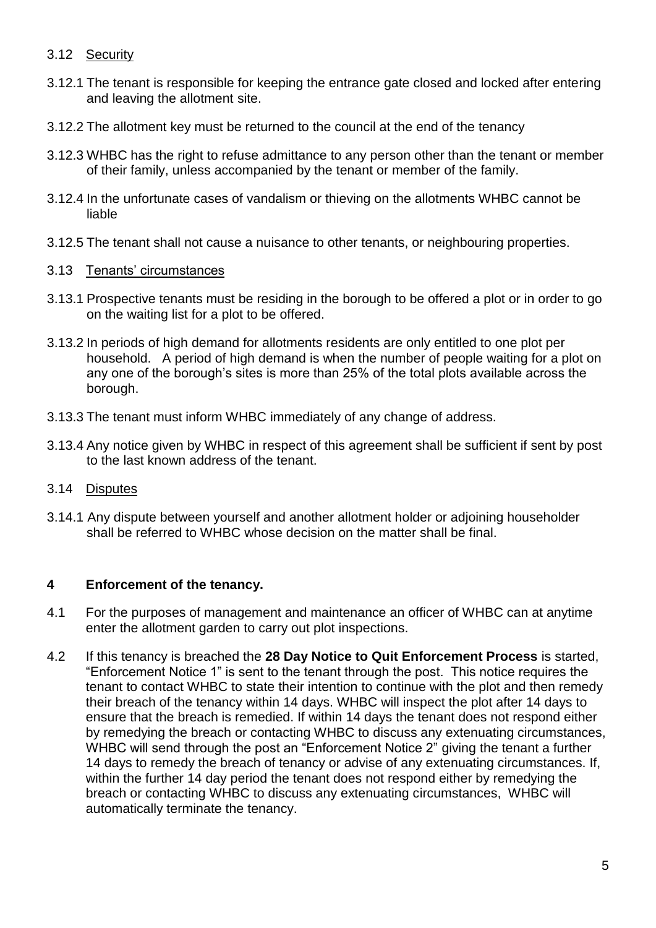## 3.12 Security

- 3.12.1 The tenant is responsible for keeping the entrance gate closed and locked after entering and leaving the allotment site.
- 3.12.2 The allotment key must be returned to the council at the end of the tenancy
- 3.12.3 WHBC has the right to refuse admittance to any person other than the tenant or member of their family, unless accompanied by the tenant or member of the family.
- 3.12.4 In the unfortunate cases of vandalism or thieving on the allotments WHBC cannot be liable
- 3.12.5 The tenant shall not cause a nuisance to other tenants, or neighbouring properties.

## 3.13 Tenants' circumstances

- 3.13.1 Prospective tenants must be residing in the borough to be offered a plot or in order to go on the waiting list for a plot to be offered.
- 3.13.2 In periods of high demand for allotments residents are only entitled to one plot per household. A period of high demand is when the number of people waiting for a plot on any one of the borough's sites is more than 25% of the total plots available across the borough.
- 3.13.3 The tenant must inform WHBC immediately of any change of address.
- 3.13.4 Any notice given by WHBC in respect of this agreement shall be sufficient if sent by post to the last known address of the tenant.
- 3.14 Disputes
- 3.14.1 Any dispute between yourself and another allotment holder or adjoining householder shall be referred to WHBC whose decision on the matter shall be final.

## **4 Enforcement of the tenancy.**

- 4.1 For the purposes of management and maintenance an officer of WHBC can at anytime enter the allotment garden to carry out plot inspections.
- 4.2 If this tenancy is breached the **28 Day Notice to Quit Enforcement Process** is started, "Enforcement Notice 1" is sent to the tenant through the post. This notice requires the tenant to contact WHBC to state their intention to continue with the plot and then remedy their breach of the tenancy within 14 days. WHBC will inspect the plot after 14 days to ensure that the breach is remedied. If within 14 days the tenant does not respond either by remedying the breach or contacting WHBC to discuss any extenuating circumstances, WHBC will send through the post an "Enforcement Notice 2" giving the tenant a further 14 days to remedy the breach of tenancy or advise of any extenuating circumstances. If, within the further 14 day period the tenant does not respond either by remedying the breach or contacting WHBC to discuss any extenuating circumstances, WHBC will automatically terminate the tenancy.